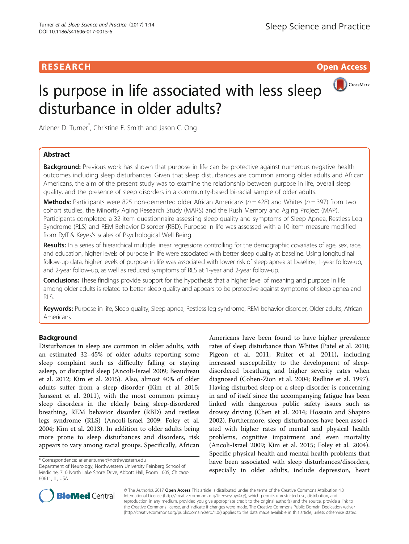# Is purpose in life associated with less sleep disturbance in older adults?



Arlener D. Turner\* , Christine E. Smith and Jason C. Ong

# Abstract

Background: Previous work has shown that purpose in life can be protective against numerous negative health outcomes including sleep disturbances. Given that sleep disturbances are common among older adults and African Americans, the aim of the present study was to examine the relationship between purpose in life, overall sleep quality, and the presence of sleep disorders in a community-based bi-racial sample of older adults.

**Methods:** Participants were 825 non-demented older African Americans ( $n = 428$ ) and Whites ( $n = 397$ ) from two cohort studies, the Minority Aging Research Study (MARS) and the Rush Memory and Aging Project (MAP). Participants completed a 32-item questionnaire assessing sleep quality and symptoms of Sleep Apnea, Restless Leg Syndrome (RLS) and REM Behavior Disorder (RBD). Purpose in life was assessed with a 10-item measure modified from Ryff & Keyes's scales of Psychological Well Being.

Results: In a series of hierarchical multiple linear regressions controlling for the demographic covariates of age, sex, race, and education, higher levels of purpose in life were associated with better sleep quality at baseline. Using longitudinal follow-up data, higher levels of purpose in life was associated with lower risk of sleep apnea at baseline, 1-year follow-up, and 2-year follow-up, as well as reduced symptoms of RLS at 1-year and 2-year follow-up.

Conclusions: These findings provide support for the hypothesis that a higher level of meaning and purpose in life among older adults is related to better sleep quality and appears to be protective against symptoms of sleep apnea and RLS.

Keywords: Purpose in life, Sleep quality, Sleep apnea, Restless leg syndrome, REM behavior disorder, Older adults, African Americans

# Background

Disturbances in sleep are common in older adults, with an estimated 32–45% of older adults reporting some sleep complaint such as difficulty falling or staying asleep, or disrupted sleep (Ancoli-Israel [2009](#page-8-0); Beaudreau et al. [2012;](#page-8-0) Kim et al. [2015](#page-8-0)). Also, almost 40% of older adults suffer from a sleep disorder (Kim et al. [2015](#page-8-0); Jaussent et al. [2011\)](#page-8-0), with the most common primary sleep disorders in the elderly being sleep-disordered breathing, REM behavior disorder (RBD) and restless legs syndrome (RLS) (Ancoli-Israel [2009](#page-8-0); Foley et al. [2004](#page-8-0); Kim et al. [2013\)](#page-8-0). In addition to older adults being more prone to sleep disturbances and disorders, risk appears to vary among racial groups. Specifically, African

Americans have been found to have higher prevalence rates of sleep disturbance than Whites (Patel et al. [2010](#page-9-0); Pigeon et al. [2011](#page-9-0); Ruiter et al. [2011](#page-9-0)), including increased susceptibility to the development of sleepdisordered breathing and higher severity rates when diagnosed (Cohen-Zion et al. [2004](#page-8-0); Redline et al. [1997](#page-9-0)). Having disturbed sleep or a sleep disorder is concerning in and of itself since the accompanying fatigue has been linked with dangerous public safety issues such as drowsy driving (Chen et al. [2014;](#page-8-0) Hossain and Shapiro [2002](#page-8-0)). Furthermore, sleep disturbances have been associated with higher rates of mental and physical health problems, cognitive impairment and even mortality (Ancoli-Israel [2009](#page-8-0); Kim et al. [2015;](#page-8-0) Foley et al. [2004](#page-8-0)). Specific physical health and mental health problems that have been associated with sleep disturbances/disorders, especially in older adults, include depression, heart



© The Author(s). 2017 **Open Access** This article is distributed under the terms of the Creative Commons Attribution 4.0 International License [\(http://creativecommons.org/licenses/by/4.0/](http://creativecommons.org/licenses/by/4.0/)), which permits unrestricted use, distribution, and reproduction in any medium, provided you give appropriate credit to the original author(s) and the source, provide a link to the Creative Commons license, and indicate if changes were made. The Creative Commons Public Domain Dedication waiver [\(http://creativecommons.org/publicdomain/zero/1.0/](http://creativecommons.org/publicdomain/zero/1.0/)) applies to the data made available in this article, unless otherwise stated.

<sup>\*</sup> Correspondence: [arlener.turner@northwestern.edu](mailto:arlener.turner@northwestern.edu)

Department of Neurology, Northwestern University Feinberg School of Medicine, 710 North Lake Shore Drive, Abbott Hall, Room 1005, Chicago 60611, IL, USA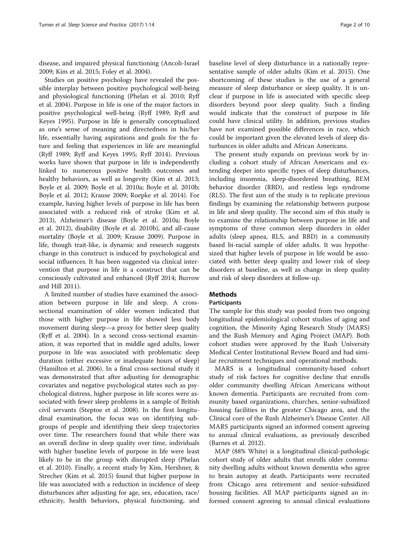disease, and impaired physical functioning (Ancoli-Israel [2009](#page-8-0); Kim et al. [2015;](#page-8-0) Foley et al. [2004\)](#page-8-0).

Studies on positive psychology have revealed the possible interplay between positive psychological well-being and physiological functioning (Phelan et al. [2010](#page-9-0); Ryff et al. [2004](#page-9-0)). Purpose in life is one of the major factors in positive psychological well-being (Ryff [1989](#page-9-0); Ryff and Keyes [1995\)](#page-9-0). Purpose in life is generally conceptualized as one's sense of meaning and directedness in his/her life, essentially having aspirations and goals for the future and feeling that experiences in life are meaningful (Ryff [1989;](#page-9-0) Ryff and Keyes [1995](#page-9-0); Ryff [2014](#page-9-0)). Previous works have shown that purpose in life is independently linked to numerous positive health outcomes and healthy behaviors, as well as longevity (Kim et al. [2013](#page-8-0); Boyle et al. [2009;](#page-8-0) Boyle et al. [2010a](#page-8-0); Boyle et al. [2010b](#page-8-0); Boyle et al. [2012;](#page-8-0) Krause [2009](#page-9-0); Roepke et al. [2014\)](#page-9-0). For example, having higher levels of purpose in life has been associated with a reduced risk of stroke (Kim et al. [2013](#page-8-0)), Alzheimer's disease (Boyle et al. [2010a](#page-8-0); Boyle et al. [2012](#page-8-0)), disability (Boyle et al. [2010b](#page-8-0)), and all-cause mortality (Boyle et al. [2009;](#page-8-0) Krause [2009\)](#page-9-0). Purpose in life, though trait-like, is dynamic and research suggests change in this construct is induced by psychological and social influences. It has been suggested via clinical intervention that purpose in life is a construct that can be consciously cultivated and enhanced (Ryff [2014](#page-9-0); Burrow and Hill [2011](#page-8-0)).

A limited number of studies have examined the association between purpose in life and sleep. A crosssectional examination of older women indicated that those with higher purpose in life showed less body movement during sleep—a proxy for better sleep quality (Ryff et al. [2004](#page-9-0)). In a second cross-sectional examination, it was reported that in middle aged adults, lower purpose in life was associated with problematic sleep duration (either excessive or inadequate hours of sleep) (Hamilton et al. [2006\)](#page-8-0). In a final cross-sectional study it was demonstrated that after adjusting for demographic covariates and negative psychological states such as psychological distress, higher purpose in life scores were associated with fewer sleep problems in a sample of British civil servants (Steptoe et al. [2008](#page-9-0)). In the first longitudinal examination, the focus was on identifying subgroups of people and identifying their sleep trajectories over time. The researchers found that while there was an overall decline in sleep quality over time, individuals with higher baseline levels of purpose in life were least likely to be in the group with disrupted sleep (Phelan et al. [2010](#page-9-0)). Finally, a recent study by Kim, Hershner, & Strecher (Kim et al. [2015](#page-8-0)) found that higher purpose in life was associated with a reduction in incidence of sleep disturbances after adjusting for age, sex, education, race/ ethnicity, health behaviors, physical functioning, and

baseline level of sleep disturbance in a nationally representative sample of older adults (Kim et al. [2015\)](#page-8-0). One shortcoming of these studies is the use of a general measure of sleep disturbance or sleep quality. It is unclear if purpose in life is associated with specific sleep disorders beyond poor sleep quality. Such a finding would indicate that the construct of purpose in life could have clinical utility. In addition, previous studies have not examined possible differences in race, which could be important given the elevated levels of sleep dis-

turbances in older adults and African Americans. The present study expands on previous work by including a cohort study of African Americans and extending deeper into specific types of sleep disturbances, including insomnia, sleep-disordered breathing, REM behavior disorder (RBD), and restless legs syndrome (RLS). The first aim of the study is to replicate previous findings by examining the relationship between purpose in life and sleep quality. The second aim of this study is to examine the relationship between purpose in life and symptoms of three common sleep disorders in older adults (sleep apnea, RLS, and RBD) in a community based bi-racial sample of older adults. It was hypothesized that higher levels of purpose in life would be associated with better sleep quality and lower risk of sleep disorders at baseline, as well as change in sleep quality and risk of sleep disorders at follow-up.

# **Methods**

## **Participants**

The sample for this study was pooled from two ongoing longitudinal epidemiological cohort studies of aging and cognition, the Minority Aging Research Study (MARS) and the Rush Memory and Aging Project (MAP). Both cohort studies were approved by the Rush University Medical Center Institutional Review Board and had similar recruitment techniques and operational methods.

MARS is a longitudinal community-based cohort study of risk factors for cognitive decline that enrolls older community dwelling African Americans without known dementia. Participants are recruited from community based organizations, churches, senior-subsidized housing facilities in the greater Chicago area, and the Clinical core of the Rush Alzheimer's Disease Center. All MARS participants signed an informed consent agreeing to annual clinical evaluations, as previously described (Barnes et al. [2012\)](#page-8-0).

MAP (88% White) is a longitudinal clinical-pathologic cohort study of older adults that enrolls older community dwelling adults without known dementia who agree to brain autopsy at death. Participants were recruited from Chicago area retirement and senior-subsidized housing facilities. All MAP participants signed an informed consent agreeing to annual clinical evaluations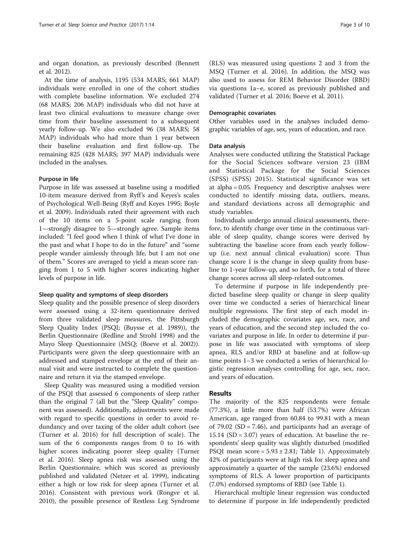and organ donation, as previously described (Bennett et al. [2012\)](#page-8-0).

At the time of analysis, 1195 (534 MARS; 661 MAP) individuals were enrolled in one of the cohort studies with complete baseline information. We excluded 274 (68 MARS; 206 MAP) individuals who did not have at least two clinical evaluations to measure change over time from their baseline assessment to a subsequent yearly follow-up. We also excluded 96 (38 MARS; 58 MAP) individuals who had more than 1 year between their baseline evaluation and first follow-up. The remaining 825 (428 MARS; 397 MAP) individuals were included in the analyses.

## Purpose in life

Purpose in life was assessed at baseline using a modified 10-item measure derived from Ryff's and Keyes's scales of Psychological Well-Being (Ryff and Keyes [1995;](#page-9-0) Boyle et al. [2009](#page-8-0)). Individuals rated their agreement with each of the 10 items on a 5-point scale ranging from 1—strongly disagree to 5—strongly agree. Sample items included: "I feel good when I think of what I've done in the past and what I hope to do in the future" and "some people wander aimlessly through life, but I am not one of them." Scores are averaged to yield a mean score ranging from 1 to 5 with higher scores indicating higher levels of purpose in life.

## Sleep quality and symptoms of sleep disorders

Sleep quality and the possible presence of sleep disorders were assessed using a 32-item questionnaire derived from three validated sleep measures, the Pittsburgh Sleep Quality Index (PSQI; (Buysse et al. [1989\)](#page-8-0)), the Berlin Questionnaire (Redline and Strohl [1998\)](#page-9-0) and the Mayo Sleep Questionnaire (MSQ; (Boeve et al. [2002](#page-8-0))). Participants were given the sleep questionnaire with an addressed and stamped envelope at the end of their annual visit and were instructed to complete the questionnaire and return it via the stamped envelope.

Sleep Quality was measured using a modified version of the PSQI that assessed 6 components of sleep rather than the original 7 (all but the "Sleep Quality" component was assessed). Additionally, adjustments were made with regard to specific questions in order to avoid redundancy and over taxing of the older adult cohort (see (Turner et al. [2016\)](#page-9-0) for full description of scale). The sum of the 6 components ranges from 0 to 16 with higher scores indicating poorer sleep quality (Turner et al. [2016\)](#page-9-0). Sleep apnea risk was assessed using the Berlin Questionnaire, which was scored as previously published and validated (Netzer et al. [1999](#page-9-0)), indicating either a high or low risk for sleep apnea (Turner et al. [2016](#page-9-0)). Consistent with previous work (Rongve et al. [2010](#page-9-0)), the possible presence of Restless Leg Syndrome

(RLS) was measured using questions 2 and 3 from the MSQ (Turner et al. [2016\)](#page-9-0). In addition, the MSQ was also used to assess for REM Behavior Disorder (RBD) via questions 1a–e, scored as previously published and validated (Turner et al. [2016;](#page-9-0) Boeve et al. [2011](#page-8-0)).

## Demographic covariates

Other variables used in the analyses included demographic variables of age, sex, years of education, and race.

## Data analysis

Analyses were conducted utilizing the Statistical Package for the Social Sciences software version 23 (IBM and Statistical Package for the Social Sciences (SPSS) (SPSS) [2015](#page-8-0)). Statistical significance was set at alpha = 0.05. Frequency and descriptive analyses were conducted to identify missing data, outliers, means, and standard deviations across all demographic and study variables.

Individuals undergo annual clinical assessments, therefore, to identify change over time in the continuous variable of sleep quality, change scores were derived by subtracting the baseline score from each yearly followup (i.e. next annual clinical evaluation) score. Thus change score 1 is the change in sleep quality from baseline to 1-year follow-up, and so forth, for a total of three change scores across all sleep-related outcomes.

To determine if purpose in life independently predicted baseline sleep quality or change in sleep quality over time we conducted a series of hierarchical linear multiple regressions. The first step of each model included the demographic covariates age, sex, race, and years of education, and the second step included the covariates and purpose in life. In order to determine if purpose in life was associated with symptoms of sleep apnea, RLS and/or RBD at baseline and at follow-up time points 1–3 we conducted a series of hierarchical logistic regression analyses controlling for age, sex, race, and years of education.

## Results

The majority of the 825 respondents were female (77.3%), a little more than half (53.7%) were African American, age ranged from 60.84 to 99.81 with a mean of 79.02 (SD = 7.46), and participants had an average of 15.14 (SD = 3.07) years of education. At baseline the respondents' sleep quality was slightly disturbed (modified PSQI mean score =  $5.93 \pm 2.81$ ; Table [1\)](#page-3-0). Approximately 42% of participants were at high risk for sleep apnea and approximately a quarter of the sample (23.6%) endorsed symptoms of RLS. A lower proportion of participants (7.0%) endorsed symptoms of RBD (see Table [1\)](#page-3-0).

Hierarchical multiple linear regression was conducted to determine if purpose in life independently predicted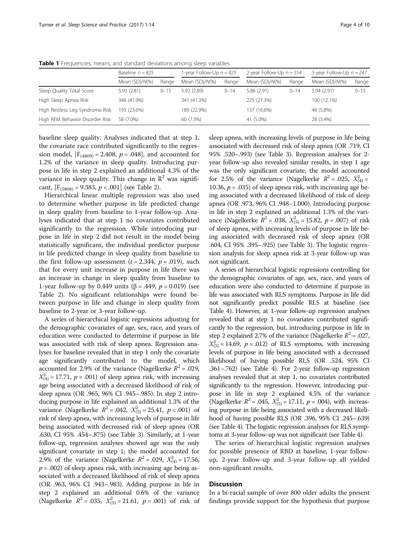|                                 | Baseline $n = 825$ |          | 1-year Follow-Up $n = 825$ |          | 2-year Follow-Up $n = 554$ |          | 3-year Follow-Up $n = 247$ |          |
|---------------------------------|--------------------|----------|----------------------------|----------|----------------------------|----------|----------------------------|----------|
|                                 | Mean (SD)/N(%)     | Range    | Mean $(SD)/N(\%)$          | Range    | Mean (SD)/N(%)             | Range    | Mean $(SD)/N(\%)$          | Range    |
| Sleep Quality Total Score       | 5.93(2.81)         | $0 - 15$ | 5.92 (2.89)                | $0 - 14$ | 5.86(2.91)                 | $0 - 14$ | 5.94(2.91)                 | $0 - 15$ |
| High Sleep Apnea Risk           | 346 (41.9%)        |          | 341 (41.3%)                |          | 225 (27.3%)                |          | 100 (12.1%)                |          |
| High Restless Leg Syndrome Risk | 195 (23.6%)        |          | 189 (22.9%)                |          | 137 (16.6%)                |          | 48 (5.8%)                  |          |
| High REM Behavior Disorder Risk | 58 (7.0%)          |          | 60 (7.3%)                  |          | 41 (5.0%)                  |          | 28 (3.4%)                  |          |

<span id="page-3-0"></span>Table 1 Frequencies, means, and standard deviations among sleep variables

baseline sleep quality. Analyses indicated that at step 1, the covariate race contributed significantly to the regression model,  $[F_{(4809)} = 2.408, p = .048]$ , and accounted for 1.2% of the variance in sleep quality. Introducing purpose in life in step 2 explained an additional 4.3% of the variance in sleep quality. This change in  $\mathbb{R}^2$  was significant,  $[F_{(5808)} = 9.383, p < .001]$  (see Table [2\)](#page-4-0).

Hierarchical linear multiple regression was also used to determine whether purpose in life predicted change in sleep quality from baseline to 1-year follow-up. Analyses indicated that at step 1 no covariates contributed significantly to the regression. While introducing purpose in life in step 2 did not result in the model being statistically significant, the individual predictor purpose in life predicted change in sleep quality from baseline to the first follow-up assessment  $(t = 2.344, p = .019)$ , such that for every unit increase in purpose in life there was an increase in change in sleep quality from baseline to 1-year follow-up by 0.449 units (β = .449,  $p = 0.019$ ) (see Table [2](#page-4-0)). No significant relationships were found between purpose in life and change in sleep quality from baseline to 2-year or 3-year follow-up.

A series of hierarchical logistic regressions adjusting for the demographic covariates of age, sex, race, and years of education were conducted to determine if purpose in life was associated with risk of sleep apnea. Regression analyses for baseline revealed that in step 1 only the covariate age significantly contributed to the model, which accounted for 2.9% of the variance (Nagelkerke  $R^2 = .029$ ,  $X_{(4)}^2 = 17.71$ ,  $p = .001$ ) of sleep apnea risk, with increasing age being associated with a decreased likelihood of risk of sleep apnea (OR .965, 96% CI .945–.985). In step 2 introducing purpose in life explained an additional 1.3% of the variance (Nagelkerke  $R^2 = .042$ ,  $X_{(5)}^2 = 25.41$ ,  $p < .001$ ) of risk of sleep apnea, with increasing levels of purpose in life being associated with decreased risk of sleep apnea (OR .630, CI 95% .454–.875) (see Table [3\)](#page-5-0). Similarly, at 1-year follow-up, regression analyses showed age was the only significant covariate in step 1; the model accounted for 2.9% of the variance (Nagelkerke  $R^2 = .029$ ,  $X_{(4)}^2 = 17.56$ ,  $p = .002$ ) of sleep apnea risk, with increasing age being associated with a decreased likelihood of risk of sleep apnea (OR .963, 96% CI .943–.983). Adding purpose in life in step 2 explained an additional 0.6% of the variance (Nagelkerke  $R^2 = .035$ ,  $X_{(5)}^2 = 21.61$ ,  $p = .001$ ) of risk of

sleep apnea, with increasing levels of purpose in life being associated with decreased risk of sleep apnea (OR .719, CI 95% .520–.993) (see Table [3](#page-5-0)). Regression analyses for 2 year follow-up also revealed similar results, in step 1 age was the only significant covariate, the model accounted for 2.5% of the variance (Nagelkerke  $R^2 = .025$ ,  $X_{(4)}^2 =$ 10.36,  $p = .035$ ) of sleep apnea risk, with increasing age being associated with a decreased likelihood of risk of sleep apnea (OR .973, 96% CI .948–1.000). Introducing purpose in life in step 2 explained an additional 1.3% of the variance (Nagelkerke  $R^2 = .038$ ,  $X_{(5)}^2 = 15.82$ ,  $p = .007$ ) of risk of sleep apnea, with increasing levels of purpose in life being associated with decreased risk of sleep apnea (OR .604, CI 95% .395–.925) (see Table [3](#page-5-0)). The logistic regression analysis for sleep apnea risk at 3-year follow-up was not significant.

A series of hierarchical logistic regressions controlling for the demographic covariates of age, sex, race, and years of education were also conducted to determine if purpose in life was associated with RLS symptoms. Purpose in life did not significantly predict possible RLS at baseline (see Table [4](#page-6-0)). However, at 1-year follow-up regression analyses revealed that at step 1 no covariates contributed significantly to the regression, but, introducing purpose in life in step 2 explained 2.7% of the variance (Nagelkerke  $R^2 = .027$ ,  $X_{(5)}^2 = 14.69$ ,  $p = .012$ ) of RLS symptoms, with increasing levels of purpose in life being associated with a decreased likelihood of having possible RLS (OR .524, 95% CI .361–.762) (see Table [4](#page-6-0)). For 2-year follow-up regression analyses revealed that at step 1, no covariates contributed significantly to the regression. However, introducing purpose in life in step 2 explained 4.5% of the variance (Nagelkerke  $R^2 = .045$ ,  $X_{(5)}^2 = 17.11$ ,  $p = .004$ ), with increasing purpose in life being associated with a decreased likelihood of having possible RLS (OR .396, 95% CI .245–.639) (see Table [4](#page-6-0)). The logistic regression analyses for RLS symptoms at 3-year follow-up was not significant (see Table [4\)](#page-6-0).

The series of hierarchical logistic regression analyses for possible presence of RBD at baseline, 1-year followup, 2-year follow-up and 3-year follow-up all yielded non-significant results.

# **Discussion**

In a bi-racial sample of over 800 older adults the present findings provide support for the hypothesis that purpose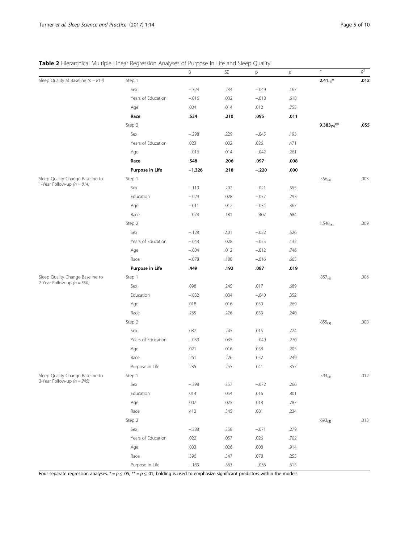<span id="page-4-0"></span>

| Table 2 Hierarchical Multiple Linear Regression Analyses of Purpose in Life and Sleep Quality |  |  |  |
|-----------------------------------------------------------------------------------------------|--|--|--|
|-----------------------------------------------------------------------------------------------|--|--|--|

|                                         |                    | B        | SE   | β       | $\boldsymbol{p}$ | F                   | $\mathbb{R}^2$ |
|-----------------------------------------|--------------------|----------|------|---------|------------------|---------------------|----------------|
| Sleep Quality at Baseline ( $n = 814$ ) | Step 1             |          |      |         |                  | $2.41_{(4)}$ *      | .012           |
|                                         | Sex                | $-.324$  | .234 | $-.049$ | .167             |                     |                |
|                                         | Years of Education | $-.016$  | .032 | $-.018$ | .618             |                     |                |
|                                         | Age                | .004     | .014 | .012    | .755             |                     |                |
|                                         | Race               | .534     | .210 | .095    | .011             |                     |                |
|                                         | Step 2             |          |      |         |                  | $9.383_{(5)}$ **    | .055           |
|                                         | Sex                | $-.298$  | .229 | $-.045$ | .193             |                     |                |
|                                         | Years of Education | .023     | .032 | .026    | .471             |                     |                |
|                                         | Age                | $-.016$  | .014 | $-.042$ | .261             |                     |                |
|                                         | Race               | .548     | .206 | .097    | .008             |                     |                |
|                                         | Purpose in Life    | $-1.326$ | .218 | $-.220$ | .000             |                     |                |
| Sleep Quality Change Baseline to        | Step 1             |          |      |         |                  | $.556_{(4)}$        | .003           |
| 1-Year Follow-up $(n = 814)$            | Sex                | $-.119$  | .202 | $-.021$ | .555             |                     |                |
|                                         | Education          | $-.029$  | .028 | $-.037$ | .293             |                     |                |
|                                         | Age                | $-.011$  | .012 | $-.034$ | .367             |                     |                |
|                                         | Race               | $-.074$  | .181 | $-.407$ | .684             |                     |                |
|                                         | Step 2             |          |      |         |                  | $1.546_{(5)}$       | .009           |
|                                         | Sex                | $-.128$  | 2.01 | $-.022$ | .526             |                     |                |
|                                         | Years of Education | $-.043$  | .028 | $-.055$ | .132             |                     |                |
|                                         | Age                | $-.004$  | .012 | $-.012$ | .746             |                     |                |
|                                         | Race               | $-.078$  | .180 | $-.016$ | .665             |                     |                |
|                                         | Purpose in Life    | .449     | .192 | .087    | .019             |                     |                |
| Sleep Quality Change Baseline to        | Step 1             |          |      |         |                  | $.857_{(4)}$        | .006           |
| 2-Year Follow-up $(n = 550)$            | Sex                | .098     | .245 | .017    | .689             |                     |                |
|                                         | Education          | $-.032$  | .034 | $-.040$ | .352             |                     |                |
|                                         | Age                | .018     | .016 | .050    | .269             |                     |                |
|                                         | Race               | .265     | .226 | .053    | .240             |                     |                |
|                                         | Step 2             |          |      |         |                  | $.855_{(5)}$        | .008           |
|                                         | Sex                | .087     | .245 | .015    | .724             |                     |                |
|                                         | Years of Education | $-.039$  | .035 | $-.049$ | .270             |                     |                |
|                                         | Age                | .021     | .016 | .058    | .205             |                     |                |
|                                         | Race               | .261     | .226 | .052    | .249             |                     |                |
|                                         | Purpose in Life    | .235     | .255 | .041    | .357             |                     |                |
| Sleep Quality Change Baseline to        | Step 1             |          |      |         |                  | $.593_{(4)}$        | .012           |
| 3-Year Follow-up $(n = 245)$            | Sex                | $-.398$  | .357 | $-.072$ | .266             |                     |                |
|                                         | Education          | .014     | .054 | .016    | .801             |                     |                |
|                                         | Age                | .007     | .025 | .018    | .787             |                     |                |
|                                         | Race               | .412     | .345 | .081    | .234             |                     |                |
|                                         | Step 2             |          |      |         |                  | .693 <sub>(5)</sub> | .013           |
|                                         | Sex                | $-.388$  | .358 | $-.071$ | .279             |                     |                |
|                                         | Years of Education | .022     | .057 | .026    | .702             |                     |                |
|                                         | Age                | .003     | .026 | .008    | .914             |                     |                |
|                                         | Race               | .396     | .347 | .078    | .255             |                     |                |
|                                         | Purpose in Life    | $-.183$  | .363 | $-.036$ | .615             |                     |                |

Four separate regression analyses. \* =  $p \le 0.05$ , \*\* =  $p \le 0.01$ , bolding is used to emphasize significant predictors within the models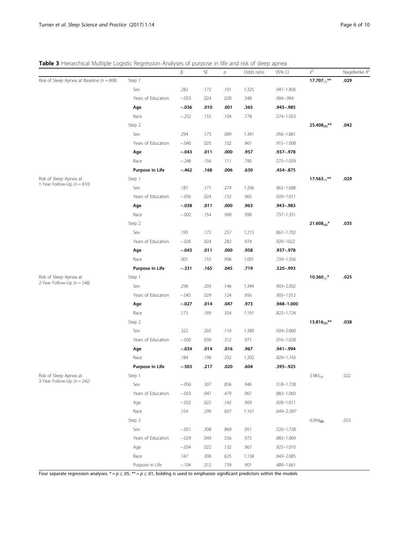<span id="page-5-0"></span>Table 3 Hierarchical Multiple Logistic Regression Analyses of purpose in life and risk of sleep apnea

|                                                                                                                                                 |                    | β        | SE   | р    | Odds ratio | 95% CI         | $\chi^2$             | Nagelkerke $R^2$ |
|-------------------------------------------------------------------------------------------------------------------------------------------------|--------------------|----------|------|------|------------|----------------|----------------------|------------------|
| Risk of Sleep Apnea at Baseline ( $n = 808$ )                                                                                                   | Step 1             |          |      |      |            |                | 17.707 $(4)^{**}$    | .029             |
|                                                                                                                                                 | Sex                | .282     | .172 | .101 | 1.325      | .947-1.856     |                      |                  |
|                                                                                                                                                 | Years of Education | $-.053$  | .024 | .028 | .348       | .904-.994      |                      |                  |
|                                                                                                                                                 | Age                | $-.036$  | .010 | .001 | .365       | .945-.985      |                      |                  |
|                                                                                                                                                 | Race               | $-.252$  | .155 | .104 | .778       | .574-1.053     |                      |                  |
|                                                                                                                                                 | Step 2             |          |      |      |            |                | $25.408_{(5)}$ **    | .042             |
|                                                                                                                                                 | Sex                | .294     | .173 | .089 | 1.341      | .956-1.881     |                      |                  |
|                                                                                                                                                 | Years of Education | $-.040$  | .025 | .102 | .961       | $.915 - 1.008$ |                      |                  |
|                                                                                                                                                 | Age                | $-.043$  | .011 | .000 | .957       | .937 - .978    |                      |                  |
|                                                                                                                                                 | Race               | $-.248$  | .156 | .111 | .780       | .575-1.059     |                      |                  |
|                                                                                                                                                 | Purpose in Life    | $-.462$  | .168 | .006 | .630       | .454-.875      |                      |                  |
| Risk of Sleep Apnea at                                                                                                                          | Step 1             |          |      |      |            |                | $17.563_{(4)}$ **    | .029             |
| 1-Year Follow-Up ( $n = 810$ )                                                                                                                  | Sex                | .187     | .171 | .274 | 1.206      | $.862 - 1.688$ |                      |                  |
|                                                                                                                                                 | Years of Education | $-.036$  | .024 | .132 | .965       | .920-1.011     |                      |                  |
|                                                                                                                                                 | Age                | $-.038$  | .011 | .000 | .963       | .943-.983      |                      |                  |
|                                                                                                                                                 | Race               | $-.002$  | .154 | .990 | .998       | .737-1.351     |                      |                  |
|                                                                                                                                                 | Step 2             |          |      |      |            |                | $21.608_{(5)}$ *     | .035             |
|                                                                                                                                                 | Sex                | .195     | .172 | .257 | 1.215      | .867-1.702     |                      |                  |
|                                                                                                                                                 | Years of Education | $-.026$  | .024 | .282 | .974       | .929-1022      |                      |                  |
|                                                                                                                                                 | Age                | $-.043$  | .011 | .000 | .958       | .937-.978      |                      |                  |
|                                                                                                                                                 | Race               | .001     | .155 | .996 | 1.001      | .739-1.356     |                      |                  |
|                                                                                                                                                 | Purpose in Life    | $-.331$  | .165 | .045 | .719       | .520-.993      |                      |                  |
| Risk of Sleep Apnea at                                                                                                                          | Step 1             |          |      |      |            |                | 10.360 $(4)^*$       | .025             |
| 2-Year Follow-Up $(n = 548)$                                                                                                                    | Sex                | .296     | .203 | .146 | 1.344      | $.903 - 2.002$ |                      |                  |
|                                                                                                                                                 | Years of Education | $-.045$  | .029 | .124 | .956       | .903-1.012     |                      |                  |
|                                                                                                                                                 | Age                | $-.027$  | .014 | .047 | .973       | .948-1.000     |                      |                  |
|                                                                                                                                                 | Race               | .175     | .189 | .354 | 1.191      | $.823 - 1.724$ |                      |                  |
|                                                                                                                                                 | Step 2             |          |      |      |            |                | $15.816_{(5)}$ **    | .038             |
|                                                                                                                                                 | Sex                | .322     | .205 | .116 | 1.380      | .924-2.060     |                      |                  |
|                                                                                                                                                 | Years of Education | $-.030$  | .030 | .312 | .971       | .916-1.028     |                      |                  |
|                                                                                                                                                 | Age                | $-.034$  | .014 | .016 | .967       | .941–.994      |                      |                  |
|                                                                                                                                                 | Race               | .184     | .190 | .332 | 1.202      | .829-1.743     |                      |                  |
|                                                                                                                                                 | Purpose in Life    | $-.503$  | .217 | .020 | .604       | .395-.925      |                      |                  |
| Risk of Sleep Apnea at                                                                                                                          | Step 1             |          |      |      |            |                | $3.983_{(4)}$        | .022             |
| 3-Year Follow-Up $(n = 242)$                                                                                                                    | Sex                | $-0.056$ | .307 | .856 | .946       | .518-1.728     |                      |                  |
|                                                                                                                                                 | Years of Education | $-.033$  | .047 | .479 | .967       | $.882 - 1.060$ |                      |                  |
|                                                                                                                                                 | Age                | $-.032$  | .022 | .142 | .969       | .928-1.011     |                      |                  |
|                                                                                                                                                 | Race               | .154     | .299 | .607 | 1.167      | .649-2097      |                      |                  |
|                                                                                                                                                 | Step 2             |          |      |      |            |                | 4.094 <sub>(5)</sub> | .023             |
|                                                                                                                                                 | Sex                | $-.051$  | .308 | .869 | .951       | $.520 - 1.738$ |                      |                  |
|                                                                                                                                                 | Years of Education | $-.029$  | .049 | .556 | .972       | $.883 - 1.069$ |                      |                  |
|                                                                                                                                                 | Age                | $-.034$  | .022 | .132 | .967       | $.925 - 1.010$ |                      |                  |
|                                                                                                                                                 | Race               | .147     | .300 | .625 | 1.158      | $.643 - 2.085$ |                      |                  |
|                                                                                                                                                 | Purpose in Life    | $-.104$  | .312 | .739 | .901       | .489-1.661     |                      |                  |
| Four separate regression analyses. * = $p \le 0.05$ , ** = $p \le 0.01$ , bolding is used to emphasize significant predictors within the models |                    |          |      |      |            |                |                      |                  |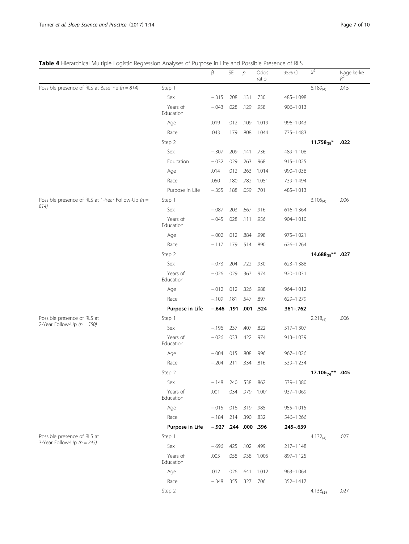# <span id="page-6-0"></span>Table 4 Hierarchical Multiple Logistic Regression Analyses of Purpose in Life and Possible Presence of RLS

| <b>Table +</b> Filerarchical multiple Eugistic Regression Analyses of Furpose in Elie and Fossible Fresence |                       | β                      | SE        | $\mathcal{P}$ | Odds<br>ratio | UI ILJ<br>95% CI | $\chi^2$                      | Nagelkerke<br>$R^2$ |
|-------------------------------------------------------------------------------------------------------------|-----------------------|------------------------|-----------|---------------|---------------|------------------|-------------------------------|---------------------|
| Possible presence of RLS at Baseline ( $n = 814$ )                                                          | Step 1                |                        |           |               |               |                  | $8.189_{(4)}$                 | .015                |
|                                                                                                             | Sex                   | $-.315$                | .208      | .131          | .730          | .485-1.098       |                               |                     |
|                                                                                                             | Years of<br>Education | $-.043$                | .028      | .129          | .958          | .906-1.013       |                               |                     |
|                                                                                                             | Age                   | .019                   | .012      | .109          | 1.019         | .996-1.043       |                               |                     |
|                                                                                                             | Race                  | .043                   | .179      | .808          | 1.044         | .735-1.483       |                               |                     |
|                                                                                                             | Step 2                |                        |           |               |               |                  | $11.758_{(5)}$ *              | .022                |
|                                                                                                             | Sex                   | $-.307$                | .209      | .141          | .736          | .489-1.108       |                               |                     |
|                                                                                                             | Education             | $-.032$                | .029      | .263          | .968          | .915-1.025       |                               |                     |
|                                                                                                             | Age                   | .014                   | .012      | .263          | 1.014         | .990-1.038       |                               |                     |
|                                                                                                             | Race                  | .050                   | .180      | .782          | 1.051         | .739-1.494       |                               |                     |
|                                                                                                             | Purpose in Life       | $-.355$                | .188      | .059          | .701          | .485-1.013       |                               |                     |
| Possible presence of RLS at 1-Year Follow-Up ( $n =$                                                        | Step 1                |                        |           |               |               |                  | $3.105_{(4)}$                 | .006                |
| 814)                                                                                                        | Sex                   | $-.087$                | .203      | .667          | .916          | $.616 - 1.364$   |                               |                     |
|                                                                                                             | Years of<br>Education | $-.045$                | .028      | .111          | .956          | .904-1.010       |                               |                     |
|                                                                                                             | Age                   | $-.002$                | .012      | .884          | .998          | .975-1.021       |                               |                     |
|                                                                                                             | Race                  | $-.117$                | .179      | .514          | .890          | $.626 - 1.264$   |                               |                     |
|                                                                                                             | Step 2                |                        |           |               |               |                  | 14.688 <sub>(5)</sub> ** .027 |                     |
|                                                                                                             | Sex                   | $-.073$                | .204      | .722 .930     |               | $.623 - 1.388$   |                               |                     |
|                                                                                                             | Years of<br>Education | $-.026$                | .029      | .367          | .974          | .920-1.031       |                               |                     |
|                                                                                                             | Age                   | $-.012$                | .012 .326 |               | .988          | .964-1.012       |                               |                     |
|                                                                                                             | Race                  | $-.109$                | .181      | .547          | .897          | .629-1.279       |                               |                     |
|                                                                                                             | Purpose in Life       | $-.646$ .191 .001 .524 |           |               |               | $.361 - .762$    |                               |                     |
| Possible presence of RLS at                                                                                 | Step 1                |                        |           |               |               |                  | $2.218_{(4)}$                 | .006                |
| 2-Year Follow-Up $(n = 550)$                                                                                | Sex                   | $-.196$                | .237      | .407          | .822          | .517-1.307       |                               |                     |
|                                                                                                             | Years of<br>Education | $-.026$                | .033      | .422          | .974          | .913-1.039       |                               |                     |
|                                                                                                             | Age                   | $-.004$                | .015      | .808          | .996          | $.967 - 1.026$   |                               |                     |
|                                                                                                             | Race                  | $-.204$                |           | .211 .334     | .816          | .539-1.234       |                               |                     |
|                                                                                                             | Step 2                |                        |           |               |               |                  | $17.106_{(5)}$ **             | .045                |
|                                                                                                             | Sex                   | $-.148$                | .240      | .538          | .862          | .539-1.380       |                               |                     |
|                                                                                                             | Years of<br>Education | .001                   |           | .034 .979     | 1.001         | .937-1.069       |                               |                     |
|                                                                                                             | Age                   | $-.015$ .016 .319      |           |               | .985          | .955-1.015       |                               |                     |
|                                                                                                             | Race                  | $-.184$ .214 .390      |           |               | .832          | $.546 - 1.266$   |                               |                     |
|                                                                                                             | Purpose in Life       | $-.927$ .244 .000 .396 |           |               |               | .245-.639        |                               |                     |
| Possible presence of RLS at                                                                                 | Step 1                |                        |           |               |               |                  | $4.132_{(4)}$                 | .027                |
| 3-Year Follow-Up $(n = 245)$                                                                                | Sex                   | $-.696$                | .425      | .102 .499     |               | .217-1.148       |                               |                     |
|                                                                                                             | Years of<br>Education | .005                   | .058      | .938          | 1.005         | .897-1.125       |                               |                     |
|                                                                                                             | Age                   | .012                   | .026      | .641          | 1.012         | $.963 - 1.064$   |                               |                     |
|                                                                                                             | Race                  | $-.348$                | .355      | .327 .706     |               | .352-1.417       |                               |                     |
|                                                                                                             | Step 2                |                        |           |               |               |                  | $4.138_{(5)}$                 | .027                |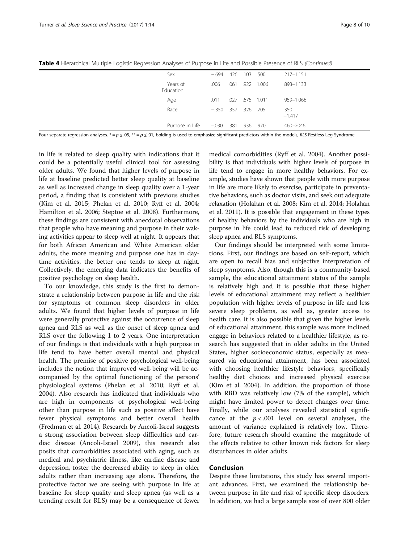| Sex                   | $-.694$ $.426$ $.103$ $.500$ |      |      |               | $.217 - 1.151$   |
|-----------------------|------------------------------|------|------|---------------|------------------|
| Years of<br>Education | .006                         | .061 | .922 | 1.006         | $.893 - 1.133$   |
| Age                   | .011                         |      |      | 027 675 1.011 | .959–1.066       |
| Race                  | $-.350$ $.357$ $.326$ $.705$ |      |      |               | .350<br>$-1.417$ |
| Purpose in Life       | -.030 .381 .936 .970         |      |      |               | .460-2046        |

Table 4 Hierarchical Multiple Logistic Regression Analyses of Purpose in Life and Possible Presence of RLS (Continued)

Four separate regression analyses. \* =  $p \le 0.05$ , \*\* =  $p \le 0.01$ , bolding is used to emphasize significant predictors within the models, RLS Restless Leg Syndrome

in life is related to sleep quality with indications that it could be a potentially useful clinical tool for assessing older adults. We found that higher levels of purpose in life at baseline predicted better sleep quality at baseline as well as increased change in sleep quality over a 1-year period, a finding that is consistent with previous studies (Kim et al. [2015](#page-8-0); Phelan et al. [2010](#page-9-0); Ryff et al. [2004](#page-9-0); Hamilton et al. [2006](#page-8-0); Steptoe et al. [2008](#page-9-0)). Furthermore, these findings are consistent with anecdotal observations that people who have meaning and purpose in their waking activities appear to sleep well at night. It appears that for both African American and White American older adults, the more meaning and purpose one has in daytime activities, the better one tends to sleep at night. Collectively, the emerging data indicates the benefits of positive psychology on sleep health.

To our knowledge, this study is the first to demonstrate a relationship between purpose in life and the risk for symptoms of common sleep disorders in older adults. We found that higher levels of purpose in life were generally protective against the occurrence of sleep apnea and RLS as well as the onset of sleep apnea and RLS over the following 1 to 2 years. One interpretation of our findings is that individuals with a high purpose in life tend to have better overall mental and physical health. The premise of positive psychological well-being includes the notion that improved well-being will be accompanied by the optimal functioning of the persons' physiological systems (Phelan et al. [2010;](#page-9-0) Ryff et al. [2004](#page-9-0)). Also research has indicated that individuals who are high in components of psychological well-being other than purpose in life such as positive affect have fewer physical symptoms and better overall health (Fredman et al. [2014](#page-8-0)). Research by Ancoli-Isreal suggests a strong association between sleep difficulties and cardiac disease (Ancoli-Israel [2009\)](#page-8-0), this research also posits that comorbidities associated with aging, such as medical and psychiatric illness, like cardiac disease and depression, foster the decreased ability to sleep in older adults rather than increasing age alone. Therefore, the protective factor we are seeing with purpose in life at baseline for sleep quality and sleep apnea (as well as a trending result for RLS) may be a consequence of fewer

medical comorbidities (Ryff et al. [2004](#page-9-0)). Another possibility is that individuals with higher levels of purpose in life tend to engage in more healthy behaviors. For example, studies have shown that people with more purpose in life are more likely to exercise, participate in preventative behaviors, such as doctor visits, and seek out adequate relaxation (Holahan et al. [2008;](#page-8-0) Kim et al. [2014;](#page-8-0) Holahan et al. [2011](#page-8-0)). It is possible that engagement in these types of healthy behaviors by the individuals who are high in purpose in life could lead to reduced risk of developing sleep apnea and RLS symptoms.

Our findings should be interpreted with some limitations. First, our findings are based on self-report, which are open to recall bias and subjective interpretation of sleep symptoms. Also, though this is a community-based sample, the educational attainment status of the sample is relatively high and it is possible that these higher levels of educational attainment may reflect a healthier population with higher levels of purpose in life and less severe sleep problems, as well as, greater access to health care. It is also possible that given the higher levels of educational attainment, this sample was more inclined engage in behaviors related to a healthier lifestyle, as research has suggested that in older adults in the United States, higher socioeconomic status, especially as measured via educational attainment, has been associated with choosing healthier lifestyle behaviors, specifically healthy diet choices and increased physical exercise (Kim et al. [2004\)](#page-8-0). In addition, the proportion of those with RBD was relatively low (7% of the sample), which might have limited power to detect changes over time. Finally, while our analyses revealed statistical significance at the  $p < .001$  level on several analyses, the amount of variance explained is relatively low. Therefore, future research should examine the magnitude of the effects relative to other known risk factors for sleep disturbances in older adults.

# Conclusion

Despite these limitations, this study has several important advances. First, we examined the relationship between purpose in life and risk of specific sleep disorders. In addition, we had a large sample size of over 800 older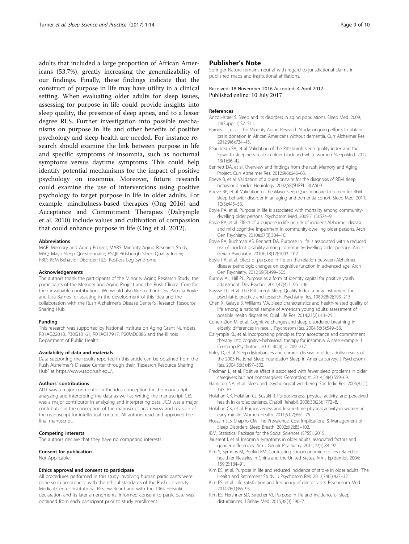<span id="page-8-0"></span>adults that included a large proportion of African Americans (53.7%), greatly increasing the generalizability of our findings. Finally, these findings indicate that the construct of purpose in life may have utility in a clinical setting. When evaluating older adults for sleep issues, assessing for purpose in life could provide insights into sleep quality, the presence of sleep apnea, and to a lesser degree RLS. Further investigation into possible mechanisms on purpose in life and other benefits of positive psychology and sleep health are needed. For instance research should examine the link between purpose in life and specific symptoms of insomnia, such as nocturnal symptoms versus daytime symptoms. This could help identify potential mechanisms for the impact of positive psychology on insomnia. Moreover, future research could examine the use of interventions using positive psychology to target purpose in life in older adults. For example, mindfulness-based therapies (Ong [2016](#page-9-0)) and Acceptance and Commitment Therapies (Dalrymple et al. 2010) include values and cultivation of compassion that could enhance purpose in life (Ong et al. [2012\)](#page-9-0).

#### Abbreviations

MAP: Memory and Aging Project; MARS: Minority Aging Research Study; MSQ: Mayo Sleep Questionnaire; PSQI: Pittsburgh Sleep Quality Index; RBD: REM Behavior Disorder; RLS: Restless Leg Syndrome

#### Acknowledgements

The authors thank the participants of the Minority Aging Research Study, the participants of the Memory and Aging Project and the Rush Clinical Core for their invaluable contributions. We would also like to thank Drs. Patricia Boyle and Lisa Barnes for assisting in the development of this idea and the collaboration with the Rush Alzheimer's Disease Center's Research Resource Sharing Hub.

#### Funding

This research was supported by National Institute on Aging Grant Numbers R01AG22018, P30G10161, R01AG17917, P20MD6886 and the Illinois Department of Public Health.

#### Availability of data and materials

Data supporting the results reported in this article can be obtained from the Rush Alzheimer's Disease Center through their "Research Resource Sharing Hub" at<https://www.radc.rush.edu/>.

### Authors' contributions

ADT was a major contributor in the idea conception for the manuscript, analyzing and interpreting the data as well as writing the manuscript. CES was a major contributor in analyzing and interpreting data. JCO was a major contributor in the conception of the manuscript and review and revision of the manuscript for intellectual content. All authors read and approved the final manuscript.

#### Competing interests

The authors declare that they have no competing interests.

# Consent for publication

Not Applicable.

#### Ethics approval and consent to participate

All procedures performed in this study involving human participants were done so in accordance with the ethical standards of the Rush University Medical Center Institutional Review Board and with the 1964 Helsinki declaration and its later amendments. Informed consent to participate was obtained from each participant prior to study enrollment.

## Publisher's Note

Springer Nature remains neutral with regard to jurisdictional claims in published maps and institutional affiliations.

## Received: 18 November 2016 Accepted: 4 April 2017 Published online: 10 July 2017

#### References

- Ancoli-Israel S. Sleep and its disorders in aging populations. Sleep Med. 2009; 10(Suppl 1):S7–S11.
- Barnes LL, et al. The Minority Aging Research Study: ongoing efforts to obtain brain donation in African Americans without dementia. Curr Alzheimer Res. 2012;9(6):734–45.
- Beaudreau SA, et al. Validation of the Pittsburgh sleep quality index and the Epworth sleepiness scale in older black and white women. Sleep Med. 2012; 13(1):36–42.
- Bennett DA, et al. Overview and findings from the rush Memory and Aging Project. Curr Alzheimer Res. 2012;9(6):646–63.
- Boeve B, et al. Validation of a questionnaire for the diagnosis of REM sleep behavior disorder. Neurology. 2002;58(SUPPL. 3):A509.
- Boeve BF, et al. Validation of the Mayo Sleep Questionnaire to screen for REM sleep behavior disorder in an aging and dementia cohort. Sleep Med. 2011; 12(5):445–53.
- Boyle PA, et al. Purpose in life is associated with mortality among communitydwelling older persons. Psychosom Med. 2009;71(5):574–9.
- Boyle PA, et al. Effect of a purpose in life on risk of incident Alzheimer disease and mild cognitive impairment in community-dwelling older persons. Arch Gen Psychiatry. 2010a;67(3):304–10.
- Boyle PA, Buchman AS, Bennett DA. Purpose in life is associated with a reduced risk of incident disability among community-dwelling older persons. Am J Geriatr Psychiatry. 2010b;18(12):1093–102.
- Boyle PA, et al. Effect of purpose in life on the relation between Alzheimer disease pathologic changes on cognitive function in advanced age. Arch Gen Psychiatry. 2012;69(5):499–505.
- Burrow AL, Hill PL. Purpose as a form of identity capital for positive youth adjustment. Dev Psychol. 2011;47(4):1196–206.
- Buysse DJ, et al. The Pittsburgh Sleep Quality Index: a new instrument for psychiatric practice and research. Psychiatry Res. 1989;28(2):193–213.
- Chen X, Gelaye B, Williams MA. Sleep characteristics and health-related quality of life among a national sample of American young adults: assessment of possible health disparities. Qual Life Res. 2014;23(2):613–25.
- Cohen-Zion M, et al. Cognitive changes and sleep disordered breathing in elderly: differences in race. J Psychosom Res. 2004;56(5):549–53.
- Dalrymple KL, et al. Incorporating principles from acceptance and commitment therapy into cognitive-behavioral therapy for insomnia: A case example. J Contemp Psychother, 2010. 40(4): p. 209–217.
- Foley D, et al. Sleep disturbances and chronic disease in older adults: results of the 2003 National Sleep Foundation Sleep in America Survey. J Psychosom Res. 2004;56(5):497–502.
- Fredman L, et al. Positive affect is associated with fewer sleep problems in older caregivers but not noncaregivers. Gerontologist. 2014;54(4):559–69.
- Hamilton NA, et al. Sleep and psychological well-being. Soc Indic Res. 2006;82(1): 147–63.
- Holahan CK, Holahan CJ, Suzuki R. Purposiveness, physical activity, and perceived health in cardiac patients. Disabil Rehabil. 2008;30(23):1772–8.
- Holahan CK, et al. Purposiveness and leisure-time physical activity in women in early midlife. Women Health. 2011;51(7):661–75.
- Hossain JLS, Shapiro CM. The Prevalence, Cost Implications, & Management of Sleep Disorders. Sleep Breath. 2002;6(2):85–102.
- IBM, Statistical Package for the Social Sciences (SPSS). 2015.
- Jaussent I, et al. Insomnia symptoms in older adults: associated factors and gender differences. Am J Geriatr Psychiatry. 2011;19(1):88–97.
- Kim S, Symons M, Popkin BM. Contrasting socioeconomic profiles related to healthier lifestyles in China and the United States. Am J Epidemiol. 2004; 159(2):184–91.
- Kim ES, et al. Purpose in life and reduced incidence of stroke in older adults: 'The Health and Retirement Study'. J Psychosom Res. 2013;74(5):427–32.
- Kim ES, et al. Life satisfaction and frequency of doctor visits. Psychosom Med. 2014;76(1):86–93.
- Kim ES, Hershner SD, Strecher VJ. Purpose in life and incidence of sleep disturbances. J Behav Med. 2015;38(3):590–7.